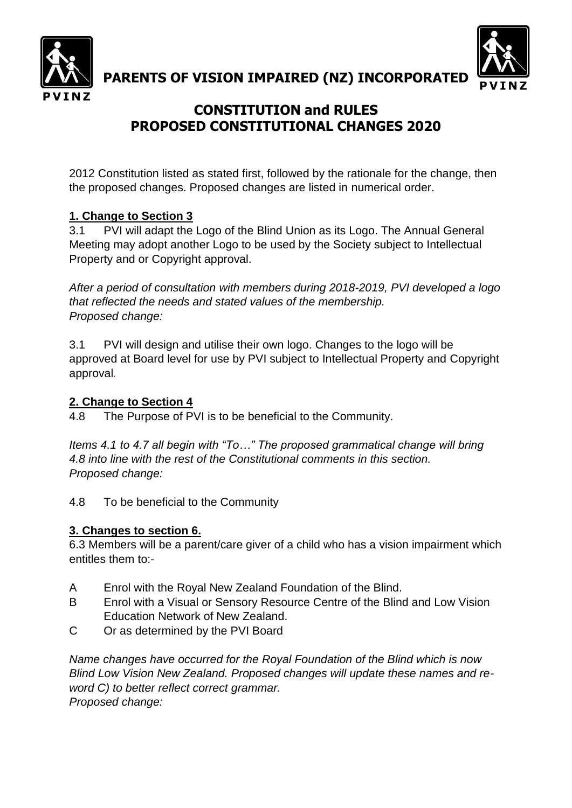

**PARENTS OF VISION IMPAIRED (NZ) INCORPORATED**



# **CONSTITUTION and RULES PROPOSED CONSTITUTIONAL CHANGES 2020**

2012 Constitution listed as stated first, followed by the rationale for the change, then the proposed changes. Proposed changes are listed in numerical order.

## **1. Change to Section 3**

3.1 PVI will adapt the Logo of the Blind Union as its Logo. The Annual General Meeting may adopt another Logo to be used by the Society subject to Intellectual Property and or Copyright approval.

*After a period of consultation with members during 2018-2019, PVI developed a logo that reflected the needs and stated values of the membership. Proposed change:*

3.1 PVI will design and utilise their own logo. Changes to the logo will be approved at Board level for use by PVI subject to Intellectual Property and Copyright approval*.*

#### **2. Change to Section 4**

4.8 The Purpose of PVI is to be beneficial to the Community.

*Items 4.1 to 4.7 all begin with "To…" The proposed grammatical change will bring 4.8 into line with the rest of the Constitutional comments in this section. Proposed change:*

4.8 To be beneficial to the Community

#### **3. Changes to section 6.**

6.3 Members will be a parent/care giver of a child who has a vision impairment which entitles them to:-

- A Enrol with the Royal New Zealand Foundation of the Blind.
- B Enrol with a Visual or Sensory Resource Centre of the Blind and Low Vision Education Network of New Zealand.
- C Or as determined by the PVI Board

*Name changes have occurred for the Royal Foundation of the Blind which is now Blind Low Vision New Zealand. Proposed changes will update these names and reword C) to better reflect correct grammar. Proposed change:*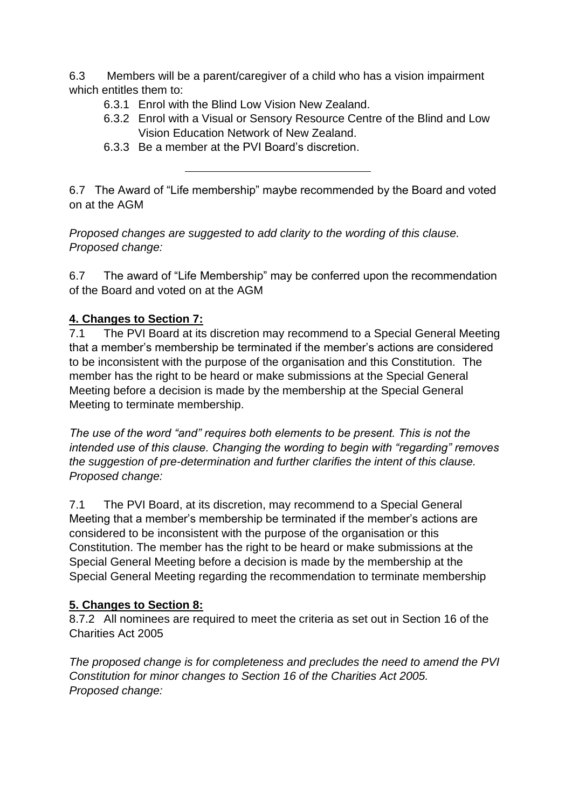6.3 Members will be a parent/caregiver of a child who has a vision impairment which entitles them to:

- 6.3.1 Enrol with the Blind Low Vision New Zealand.
- 6.3.2 Enrol with a Visual or Sensory Resource Centre of the Blind and Low Vision Education Network of New Zealand.
- 6.3.3 Be a member at the PVI Board's discretion.

6.7 The Award of "Life membership" maybe recommended by the Board and voted on at the AGM

*Proposed changes are suggested to add clarity to the wording of this clause. Proposed change:*

6.7 The award of "Life Membership" may be conferred upon the recommendation of the Board and voted on at the AGM

## **4. Changes to Section 7:**

7.1 The PVI Board at its discretion may recommend to a Special General Meeting that a member's membership be terminated if the member's actions are considered to be inconsistent with the purpose of the organisation and this Constitution. The member has the right to be heard or make submissions at the Special General Meeting before a decision is made by the membership at the Special General Meeting to terminate membership.

*The use of the word "and" requires both elements to be present. This is not the intended use of this clause. Changing the wording to begin with "regarding" removes the suggestion of pre-determination and further clarifies the intent of this clause. Proposed change:*

7.1 The PVI Board, at its discretion, may recommend to a Special General Meeting that a member's membership be terminated if the member's actions are considered to be inconsistent with the purpose of the organisation or this Constitution. The member has the right to be heard or make submissions at the Special General Meeting before a decision is made by the membership at the Special General Meeting regarding the recommendation to terminate membership

## **5. Changes to Section 8:**

8.7.2 All nominees are required to meet the criteria as set out in Section 16 of the Charities Act 2005

*The proposed change is for completeness and precludes the need to amend the PVI Constitution for minor changes to Section 16 of the Charities Act 2005. Proposed change:*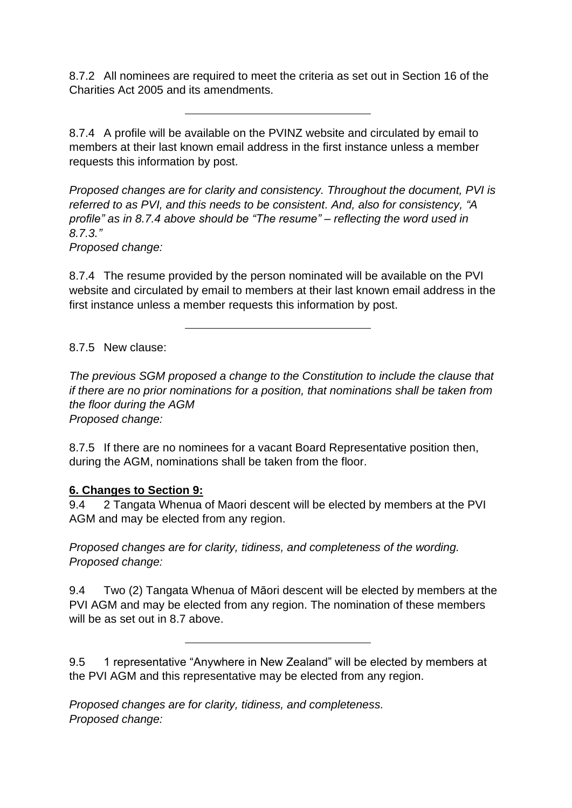8.7.2 All nominees are required to meet the criteria as set out in Section 16 of the Charities Act 2005 and its amendments.

8.7.4 A profile will be available on the PVINZ website and circulated by email to members at their last known email address in the first instance unless a member requests this information by post.

*Proposed changes are for clarity and consistency. Throughout the document, PVI is referred to as PVI, and this needs to be consistent. And, also for consistency, "A profile" as in 8.7.4 above should be "The resume" – reflecting the word used in 8.7.3."*

*Proposed change:*

8.7.4 The resume provided by the person nominated will be available on the PVI website and circulated by email to members at their last known email address in the first instance unless a member requests this information by post.

8.7.5 New clause:

*The previous SGM proposed a change to the Constitution to include the clause that if there are no prior nominations for a position, that nominations shall be taken from the floor during the AGM Proposed change:*

8.7.5 If there are no nominees for a vacant Board Representative position then, during the AGM, nominations shall be taken from the floor.

#### **6. Changes to Section 9:**

9.4 2 Tangata Whenua of Maori descent will be elected by members at the PVI AGM and may be elected from any region.

*Proposed changes are for clarity, tidiness, and completeness of the wording. Proposed change:*

9.4 Two (2) Tangata Whenua of Māori descent will be elected by members at the PVI AGM and may be elected from any region. The nomination of these members will be as set out in 8.7 above.

9.5 1 representative "Anywhere in New Zealand" will be elected by members at the PVI AGM and this representative may be elected from any region.

*Proposed changes are for clarity, tidiness, and completeness. Proposed change:*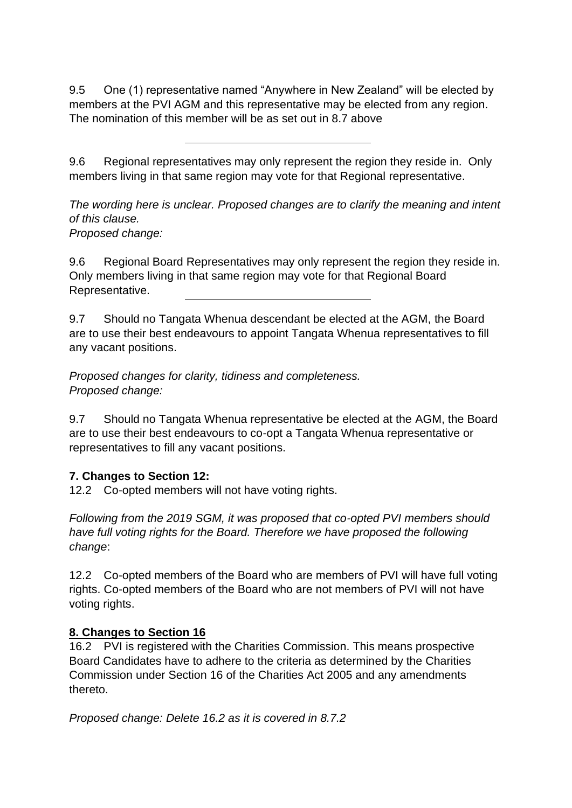9.5 One (1) representative named "Anywhere in New Zealand" will be elected by members at the PVI AGM and this representative may be elected from any region. The nomination of this member will be as set out in 8.7 above

9.6 Regional representatives may only represent the region they reside in. Only members living in that same region may vote for that Regional representative.

*The wording here is unclear. Proposed changes are to clarify the meaning and intent of this clause. Proposed change:*

9.6 Regional Board Representatives may only represent the region they reside in. Only members living in that same region may vote for that Regional Board Representative.

9.7 Should no Tangata Whenua descendant be elected at the AGM, the Board are to use their best endeavours to appoint Tangata Whenua representatives to fill any vacant positions.

*Proposed changes for clarity, tidiness and completeness. Proposed change:*

9.7 Should no Tangata Whenua representative be elected at the AGM, the Board are to use their best endeavours to co-opt a Tangata Whenua representative or representatives to fill any vacant positions.

## **7. Changes to Section 12:**

12.2 Co-opted members will not have voting rights.

*Following from the 2019 SGM, it was proposed that co-opted PVI members should have full voting rights for the Board. Therefore we have proposed the following change*:

12.2 Co-opted members of the Board who are members of PVI will have full voting rights. Co-opted members of the Board who are not members of PVI will not have voting rights.

## **8. Changes to Section 16**

16.2 PVI is registered with the Charities Commission. This means prospective Board Candidates have to adhere to the criteria as determined by the Charities Commission under Section 16 of the Charities Act 2005 and any amendments thereto.

*Proposed change: Delete 16.2 as it is covered in 8.7.2*